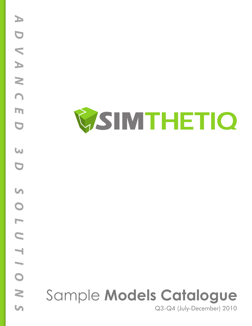

# Sample **Models Catalogue**

Q3-Q4 (July-December) 2010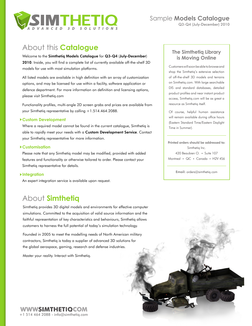

## About this **Catalogue**

#### Welcome to the Simthetiq Models Catalogue for Q3-Q4 (July-December)

2010. Inside, you will find a complete list of currently available off-the-shelf 3D models for use with most simulation platforms.

All listed models are available in high definition with an array of customization options, and may be licensed for use within a facility, software application or defence department. For more information on definition and licensing options, please visit [Simthetiq.com](http://www.simthetiq.com)

Functionality profiles, multi-angle 2D screen grabs and prices are available from your Simthetiq representative by calling +1.514.464.2088.

#### **Custom Development**

Where a required model cannot be found in the current catalogue, Simthetiq is able to rapidly meet your needs with a Custom Development Service. Contact your Simthetiq representative for more information.

#### **Customisation**

Please note that any Simthetiq model may be modified, provided with added features and functionality or otherwise tailored to order. Please contact your Simthetiq representative for details.

#### **Integration**

An expert integration service is available upon request.

## About **Simthetiq**

Simthetiq provides 3D digital models and environments for effective computer simulations. Committed to the acquisition of valid source information and the faithful representation of key characteristics and behaviours, Simthetiq allows customers to harness the full potential of today's simulation technology.

Founded in 2005 to meet the modelling needs of North American military contractors, Simthetiq is today a supplier of advanced 3D solutions for the global aerospace, gaming, research and defense industries.

Master your reality. Interact with Simthetiq.

#### **The Simthetiq Library is Moving Online**

Customers will soon be able to browse and shop the Simthetiq's extensive selection of off-the-shelf 3D models and terrains on Simthetiq.com. With large searchable DIS and standard databases, detailed product profiles and near instant product access, Simthetiq.com will be as great a resource as Simthetiq itself.

Of course, helpful human assistance will remain available during office hours (Eastern Standard Time/Eastern Daylight Time in Summer).

Printed orders should be addressed to: Simthetiq Inc. 420 Beaubien O. • Suite 107 Montreal • QC • Canada • H2V 4S6

Email: [orders@simthetiq.com](mailto:orders%40simthetiq.com?subject=)

**WWWSIMTHETIQCOM** +1 514 464 2088 • [info@simthetiq.com](mailto:info%40simthetiq.com?subject=)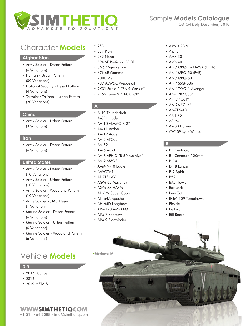

#### **Afghanistan**

- • Army Soldier Desert Pattern (6 Variations)
- • Human Urban Pattern (80 Variations)
- • National Security Desert Pattern (4 Variations)
- • Terrorist / Taliban Urban Pattern (20 Variations)

#### **China**

• Army Soldier - Urban Pattern (3 Variations)

#### **Iran**

• Army Soldier - Desert Pattern (6 Variations)

#### **United States**

- • Army Soldier Desert Pattern (10 Variations)
- • Army Soldier Urban Pattern (10 Variations)
- • Army Soldier Woodland Pattern (10 Variations)
- • Army Soldier JTAC Desert (1 Variation)
- • Marine Soldier Desert Pattern (6 Variations)
- • Marine Soldier Urban Pattern (6 Variations)
- • Marine Soldier Woodland Pattern (6 Variations)

## Vehicle **Models**

#### **0-9**

- • 2B14 Podnos
- 2S12
- 2S19 MSTA-S

#### • 2S3

- • 2S7 Pion
- • 2S9 Nona
- • 59N6E Protivnik GE 3D
- • 5N62 Square Pair
- • 67N6E Gamma
- • 7000 MV
- • 737 AEW&C Wedgetail
- 9K31 Strela-1 "SA-9-Gaskin"
- • 9K52 Luna-M "FROG-7B"

#### **A**

- • A-10 Thunderbolt
- • A-6E Intruder
- AA-10 ALAMO R-27
- • AA-11 Archer
- • AA-12 Adder
- AA-2 ATOLL
- • AA-52
- • AA-6 Acrid
- • AA-8 APHID "R-60 Molniya"
- AA-9 AMOS
- AAM-N-10 Eagle
- • AAVC7A1
- ADATS LAV III
- AGM-65 Maverick
- • AGM-88 HARM
- AH-1W Super Cobra
- • AH-64A Apache
- AH-64D Longbow
- • AIM-120 AMRAAM
- • AIM-7 Sparrow
- AIM-9 Sidewinder
- • Airbus A320
- • Alpha
- • AMX-30
- AMX-40
- AN / MPQ-46 HAWK (HIPIR)
- AN / MPQ-50 (PAR)
- AN / MPQ-53
- • AN / SSQ-53b
- AN / TWQ-1 Avenger
- AN-12B "Cub"
- $\bullet$  AN-2 "Colt"
- AN-26 "Curl"
- $\bullet$  AN-TPS-43
- • ARH-70
- • AS-90
- AV-8B Harrier II
- • AW159 Lynx Wildcat

#### **B**

- • B1 Centauro
- • B1 Centauro 120mm
- $B-10$
- • B-1B Lancer
- • B-2 Spirit
- • B52
- • BAE Hawk
- • Bar Lock
- • BearCat
- • BGM-109 Tomahawk

 $\overline{G}$ 

- • Bicycle
- • BigBird
- • Bill Board

Merkava IV

**WWWSIMTHETIQCOM** +1 514 464 2088 • [info@simthetiq.com](mailto:info%40simthetiq.com?subject=)

## Sample **Models Catalogue**

Q3-Q4 (July-December) 2010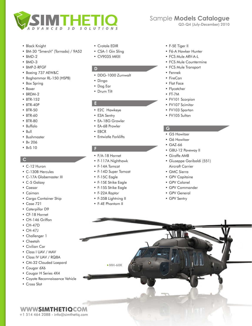

- • Black Knight
- • BM-30 "Smerch" (Tornado) / 9A52
- $•$  BMD-2
- • BMD-3
- • BMP-2-RFGF
- • Boeing 737 AEW&C
- • Boghammar RL-150 (HSPB)
- • Box Spring
- • Boxer
- • BRDM-2
- • BTR-152
- • BTR-40P
- BTR-50
- • BTR-60
- • BTR-80
- • Buffalo
- • Bull
- • Bushmaster
- • Bv 206
- • BvS 10

#### **C**

- • C-12 Huron
- • C-130B Hercules
- • C-17A Globemaster III
- • C-5 Galaxy
- • Caesar
- • Caiman
- • Cargo Container Ship
- • Case 721
- Caterpillar D9
- • CF-18 Hornet
- CH-146 Griffon
- • CH-47D
- • CH-47J
- • Challenger 1
- • Cheetah
- • Civilian Car
- • Class I UAV / MAV
- • Class IV UAV / RQ8A
- • CM-32 Clouded Loepard
- • Cougar 6X6
- • Cougar H Series 4X4
- • Coyote Reconnaissance Vehicle

+1 514 464 2088 • [info@simthetiq.com](mailto:info%40simthetiq.com?subject=)

**WWWSIMTHETIQCOM** 

• Cross Slot

- • Crotale EDIR
- CSA-1 Gin Sling
- CV9035 MKIII

#### **D**

- • DDG-1000 Zumwalt
- • Dingo
- • Dog Ear
- • Drum Tilt

#### **E**

- • E2C Hawkeye
- • E3A Sentry
- • EA-18G Growler
- EA-6B Prowler
- • EBCR
- • Entwistle Forklifts

#### **F**

- • F/A-18 Hornet
- • F-117A Nighthawk
- • F-14A Tomcat
- • F-14D Super Tomcat
- • F-15C Eagle
- • F-15E Strike Eagle
- • F-15S Strike Eagle
- • F-22A Raptor
- • F-35B Lightning II

MH-60K

• F-4E Phantom II

## Sample **Models Catalogue**

Q3-Q4 (July-December) 2010

- • F-5E Tiger II
- • F6-A Hawker Hunter
- FCS Mule ARV-A-L
- • FCS Mule Countermine
- • FCS Mule Transport
- • Fennek
- • FireCan
- • Flat Face
- • Flycatcher
- • FT-7M
- FV101 Scorpion
- FV107 Scimitar
- • FV103 Spartan
- • FV105 Sultan

#### **G**

- • G5 Howitzer
- • G6 Howitzer
- • GAZ-66
- • GBU-12 Paveway II
- • Giraffe AMB
- • Giuseppe Garibaldi (551) Aircraft Carrier
- • GMC Sierra
- • GPV Capitaine
- • GPV Colonel
- • GPV Commander
- • GPV General
- • GPV Sentry

ЛU

И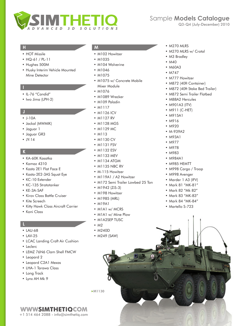

#### **H**

- HOT Missile
- • HQ-61 / PL-11
- • Hughes 500M
- • Husky Interim Vehicle Mounted Mine Detector

#### **I**

- IL-76 "Candid"
- Iwo Jima (LPH-2)

#### **J**

- • J-10A
- • Jackal (MWMIK)
- • Jaguar 1
- • Jaguar GR3
- $IY-14$

#### **K**

- • KA-60K Kasatka
- • Kamaz 4310
- • Kasta 2E1 Flat Face E
- • Kasta-2E2-3AS Squat Eye
- • KC-10 Extender
- • KC-135 Stratotanker
- • KE-3A-SAF
- Kirov Class Battle Cruiser
- • Kite Screech
- • Kitty Hawk Class Aircraft Carrier
- • Koni Class

#### **L**

- LAU-68
- $\cdot$  LAV-25
- LCAC Landing Craft Air Cushion
- • Leclerc
- • LEMZ 76N6 Clam Shell FMCW

+1 514 464 2088 • [info@simthetiq.com](mailto:info%40simthetiq.com?subject=)

**WWWSIMTHETIQCOM** 

- Leopard 2
- • Leopard C2A1 Mexas
- • LHA-1 Tarawa Class
- • Long Track
- Lynx AH Mk 9

#### **M**

- M102 Howitzer
- • M1035
- M104 Wolverine
- M1046
- • M1075
- M1075 w/ Concrete Mobile Mixer Module
- • M1076
- M1089 Wrecker
- • M109 Paladin
- • M1117
- M1126 ICV
- M1127 RV
- M1128 MGS
- M1129 MC
- • M113
- M1130 CV
- M1131 FSV
- M1132 ESV
- • M1133 MEV
- M1134 ATGM
- M1135 NBC RV
- M-115 Howitzer
- M119A1 / A2 Howitzer
- M172 Semi Trailer Lowbed 25 Ton
- • M1942 (ZiS-3)
- M198 Howitzer
- • M1985 (MRL)
- • M19A1
- M1A1 w/ MCRS
- M1A1 w/ Mine Plow
- M1A2SEP TUSC
- $\cdot$  M<sub>2</sub>

M1130

- • M240D
- • M249 (SAW)
- M270 MLRS
- M270 MLRS w/ Crotal
- M3 Bradley
- M40
- • M60A3
- • M747
- M777 Howitzer
- M872 (40ft Container)
- M872 (40ft Stake Bed Trailer)
- M872 Semi Trailer Flatbed
- M88A2 Hercules
- • M901A3 (ITV)
- • M911 (C-HET)
- • M915A1
- • M916
- • M920
- • M-939A2
- • M93A1
- • M977
- • M978
- • M983
- • M984A1
- • M985 HEMTT
- • M998 Cargo / Troop
- • M998 Avenger
- Marder 1 A3 (IFV) • Mark 81 "MK-81"

• Mark 82 "Mk 82" • Mark 83 "MK-83" • Mark 84 "MK-84" • Martello S-723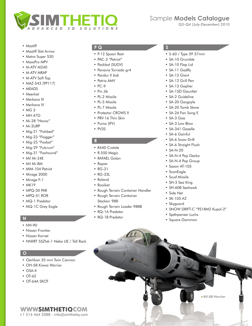

- • Mastiff
- • Mastiff Slat Armor
- Matra Super 530
- • MaxxPro MPV
- M-ATV M240
- • M-ATV MRAP
- M-ATV Soft Top
- • MAZ-543 (9P117)
- • MEADS
- • Meerkat
- • Merkava III
- Merkava IV
- • MG 3
- • MH-47G
- Mi-28 "Havoc"
- • Mi-2URP
- Mig-21 "Fishbed"
- Mig-23 "Flogger"
- Mig-25 "Foxbat"
- Mig-29 "Fulcrum"
- Mig-31 "Foxhound"
- • Mil Mi-24E
- • Mil Mi-8M
- MIM-104 Patriot
- • Mirage 2000
- Mirage F-1
- MK19
- • MPQ-50 PAR
- • MPQ-51 ROR
- • MQ-1 Predator
- MQ-1C Grey Eagle

### **N**

- NH-90
- • Nissan Frontier
- • Nissan Kornet
- NNIIRT 55Zh6-1 Nebo UE / Tall Rack

+1 514 464 2088 • [info@simthetiq.com](mailto:info%40simthetiq.com?subject=)

**WWWSIMTHETIOCOM** 

#### **O**

- • Oerlikon 35 mm Twin Cannon
- • OH-58 Kiowa Warrior
- • OSA-II
- OT-62
- • OT-64A SKOT

#### **P Q**

- • P-12 Spoon Rest
- PAC-3 "Patriot"
- Packbot (SUGV)
- • Panavia Tornado gr4
- • Pandur II 6x6
- Patria AMV
- PC-9
- • Pin Jib
- PL-2 Missile
- PL-5 Missile
- PL-7 Missile
- Protector CROWS II
- PRV-16 Thin Skin
- • Puma (IFV)
- • PV3S

#### **R**

- • R440 Crotale
- • R-550 Magic
- • RAFAEL Golan
- • Rapier
- • RG-31
- • RG-33L
- • Roland
- • Rooikat
- • Rough Terrain Container Handler
- Rough Terrain Container Stackerr 988
- • Rough Terrain Loader 988B
- • RQ-1A Predator
- • RQ-1B Predator

#### **S**

- • S-60 / Type 59 57mm
- • SA-10 Grumble
- • SA-10 Flap Lid
- • SA-11 Gadfly
- • SA-12 Giant
- • SA-12 Grill Pan
- • SA-13 Gopher
- • SA-15D Gauntlet
- SA-2 Guideline
- SA-20 Gargoyle
- SA-20 Tomb Stone
- • SA-2d Fan Song E
- • SA-3 Goa
- • SA-3 Low Blow
- • SA-341 Gazelle
- SA-6 Gainful
- SA-6 Snow Drift
- • SA-6 Straight Flush
- SA-N-20
- • SA-N-4 Pop Gecko
- SA-N-4 Pop Group
- • Saxon AT-105
- • ScanEagle

• Side Net • SK-105 A2 • Skyguard

- • Scud Missile
- SH-3 Sea King

• SH-60B Seahawk

• Spähpanzer Luchs • Square Gammon

• SNOW DRIFT-C "9S18M2 Kupol-2"

AV-8B Harrier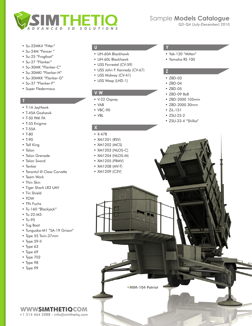

- Su-22MK4 "Fitter"
- Su-24M "Fencer"
- • Su-25 "Frogfoot"
- • Su-27 "Flanker"
- • Su-30MK "Flanker-C"
- • Su-30MKI "Flanker-H"
- • Su-30MKK "Flanker-G"
- • Su-37 "Flanker-F"
- • Super Fledermaus

#### **T**

- • T-1A JayHawk
- • T-45A Goshawk
- • T-50 PAK FA
- • T-55 Enigma
- • T-55A
- • T-80
- $T-90$
- Tall King
- • Talon
- • Talon Grenade
- • Talon Sword
- • Tanker
- • Tarantul III Class Corvette
- • Team Work
- Thin Skin
- • Tiger Shark LR3 UAV
- Tin Shield
- • TOW
- • TPz Fuchs
- • Tu-160 "Blackjack"
- $•$  Tu-22-M3
- • Tu-95
- • Tug Boat
- • Tunguska-M1 "SA-19 Grison"
- • Type 55 Twin-37mm
- • Type 59-II
- • Type 63
- Type 69
- • Type 702
- • Type 98
- Type 99

- • UH-60A Blackhawk
- • UH-60L Blackhawk
- USS Forrestal (CV-59)
- • USS John F. Kennedy (CV-67)
- USS Midway (CV-41)
- • USS Wasp (LHD-1)

#### **V W**

- • V-22 Osprey
- • VAB
- • VBC-90
- • VBL

#### **X**

- • X-47B
- • XM1201 (RSV)
- • XM1202 (MCS)
- • XM1203 (NLOS-C)
- • XM1204 (NLOS-M)
- • XM1205 (FRMV)
- • XM1208 (MV-T)
- • XM1209 (C2V)

#### **U Y**

- Yak-130 "Mitten"
- • Yamaha RS 100

#### **Z**

- • ZBD-03
- • ZBD-04
- • ZBD-05
- • ZBD-09 8x8
- • ZBD-2000 105mm
- • ZBD-2000 30mm
- • ZiL-151
- • ZSU-23-2
- • ZSU-23-4 "Shilka"

MIM-104 Patriot

**WWWSIMTHETIQCOM** +1 514 464 2088 • [info@simthetiq.com](mailto:info%40simthetiq.com?subject=)